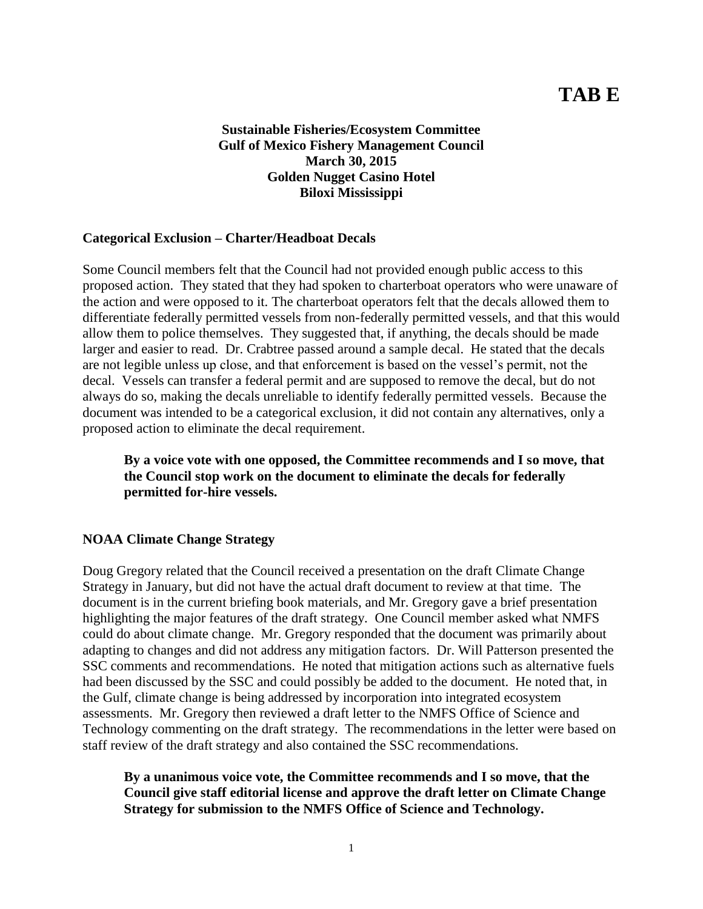# **TAB E**

**Sustainable Fisheries/Ecosystem Committee Gulf of Mexico Fishery Management Council March 30, 2015 Golden Nugget Casino Hotel Biloxi Mississippi**

#### **Categorical Exclusion – Charter/Headboat Decals**

Some Council members felt that the Council had not provided enough public access to this proposed action. They stated that they had spoken to charterboat operators who were unaware of the action and were opposed to it. The charterboat operators felt that the decals allowed them to differentiate federally permitted vessels from non-federally permitted vessels, and that this would allow them to police themselves. They suggested that, if anything, the decals should be made larger and easier to read. Dr. Crabtree passed around a sample decal. He stated that the decals are not legible unless up close, and that enforcement is based on the vessel's permit, not the decal. Vessels can transfer a federal permit and are supposed to remove the decal, but do not always do so, making the decals unreliable to identify federally permitted vessels. Because the document was intended to be a categorical exclusion, it did not contain any alternatives, only a proposed action to eliminate the decal requirement.

**By a voice vote with one opposed, the Committee recommends and I so move, that the Council stop work on the document to eliminate the decals for federally permitted for-hire vessels.**

### **NOAA Climate Change Strategy**

Doug Gregory related that the Council received a presentation on the draft Climate Change Strategy in January, but did not have the actual draft document to review at that time. The document is in the current briefing book materials, and Mr. Gregory gave a brief presentation highlighting the major features of the draft strategy. One Council member asked what NMFS could do about climate change. Mr. Gregory responded that the document was primarily about adapting to changes and did not address any mitigation factors. Dr. Will Patterson presented the SSC comments and recommendations. He noted that mitigation actions such as alternative fuels had been discussed by the SSC and could possibly be added to the document. He noted that, in the Gulf, climate change is being addressed by incorporation into integrated ecosystem assessments. Mr. Gregory then reviewed a draft letter to the NMFS Office of Science and Technology commenting on the draft strategy. The recommendations in the letter were based on staff review of the draft strategy and also contained the SSC recommendations.

**By a unanimous voice vote, the Committee recommends and I so move, that the Council give staff editorial license and approve the draft letter on Climate Change Strategy for submission to the NMFS Office of Science and Technology.**